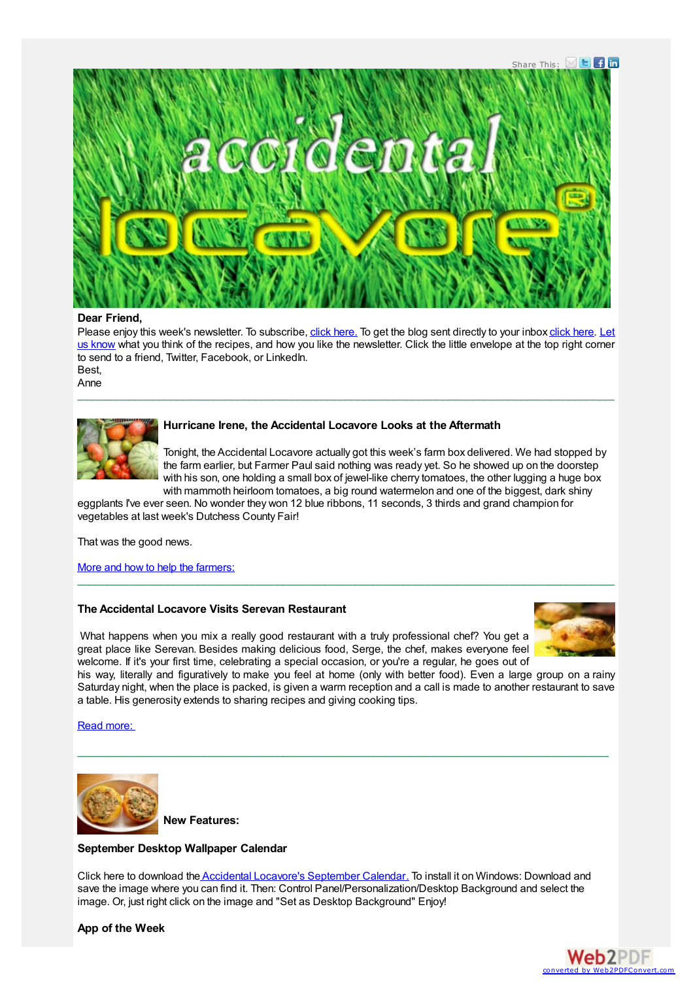

#### **Dear Friend,**

Please enjoy this week's [newsletter.](mailto:anne@accidental-locavore.com?subject=) To subscribe, click [here.](https://app.e2ma.net/app/view:Join/signupId:1351190/acctId:1350835) To get the blog sent directly to your inbox [click](http://feedburner.google.com/fb/a/mailverify?uri=AccidentalLocavore&loc=en_US) here. Let us know what you think of the recipes, and how you like the newsletter. Click the little envelope at the top right corner to send to a friend. Twitter, Facebook, or LinkedIn. Best,

\_\_\_\_\_\_\_\_\_\_\_\_\_\_\_\_\_\_\_\_\_\_\_\_\_\_\_\_\_\_\_\_\_\_\_\_\_\_\_\_\_\_\_\_\_\_\_\_\_\_\_\_\_\_\_\_\_\_\_\_\_\_\_\_\_\_\_\_\_\_\_\_\_\_\_\_\_\_\_\_\_\_\_\_\_\_\_\_\_

Anne



## **Hurricane Irene, the Accidental Locavore Looks at the Aftermath**

Tonight, the Accidental Locavore actually got this week's farm box delivered. We had stopped by the farm earlier, but Farmer Paul said nothing was ready yet. So he showed up on the doorstep with his son, one holding a small box of jewel-like cherry tomatoes, the other lugging a huge box with mammoth heirloom tomatoes, a big round watermelon and one of the biggest, dark shiny

eggplants I've ever seen. No wonder they won 12 blue ribbons, 11 seconds, 3 thirds and grand champion for vegetables at last week's Dutchess County Fair!

That was the good news.

More and how to help the [farmers:](http://www.accidental-locavore.com/?p=1203)

# **The Accidental Locavore Visits Serevan Restaurant**

What happens when you mix a really good restaurant with a truly professional chef? You get a great place like Serevan. Besides making delicious food, Serge, the chef, makes everyone feel welcome. If it's your first time, celebrating a special occasion, or you're a regular, he goes out of



his way, literally and figuratively to make you feel at home (only with better food). Even a large group on a rainy Saturday night, when the place is packed, is given a warm reception and a call is made to another restaurant to save a table. His generosity extends to sharing recipes and giving cooking tips.

\_\_\_\_\_\_\_\_\_\_\_\_\_\_\_\_\_\_\_\_\_\_\_\_\_\_\_\_\_\_\_\_\_\_\_\_\_\_\_\_\_\_\_\_\_\_\_\_\_\_\_\_\_\_\_\_\_\_\_\_\_\_\_\_\_\_\_\_\_\_\_\_\_\_\_\_\_\_\_\_\_\_\_\_\_\_\_\_

 $\_$  , and the state of the state of the state of the state of the state of the state of the state of the state of the state of the state of the state of the state of the state of the state of the state of the state of the

Read [more:](http://www.accidental-locavore.com/?p=1111)



**New Features:**

## **September Desktop Wallpaper Calendar**

Click here to download the Accidental Locavore's [September](http://www.accidental-locavore.com/wp-content/uploads/2010/07/Accidental-Locavore-September-2011-Calendar.jpg) Calenda[r.](http://www.accidental-locavore.com/?p=1031) To install it on Windows: Download and save the image where you can find it. Then: Control Panel/Personalization/Desktop Background and select the image. Or, just right click on the image and "Set as Desktop Background" Enjoy!

**App of the Week**